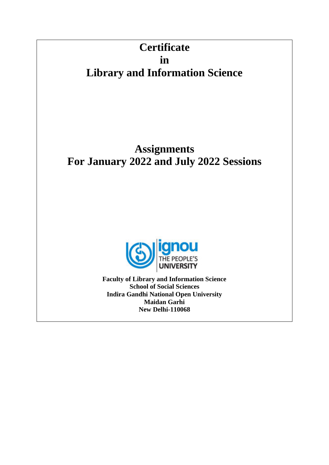# **Certificate in Library and Information Science**

# **Assignments For January 2022 and July 2022 Sessions**



**Faculty of Library and Information Science School of Social Sciences Indira Gandhi National Open University Maidan Garhi New Delhi-110068**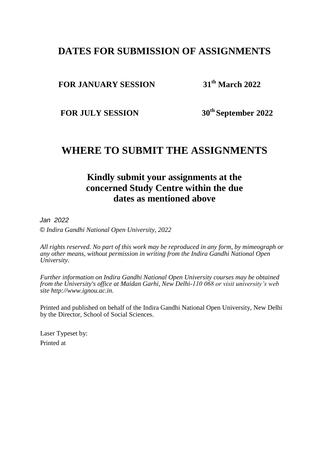# **DATES FOR SUBMISSION OF ASSIGNMENTS**

### **FOR JANUARY SESSION**

**th March 2022**

**FOR JULY SESSION** 

**th September 2022**

# **WHERE TO SUBMIT THE ASSIGNMENTS**

# **Kindly submit your assignments at the concerned Study Centre within the due dates as mentioned above**

*Jan 2022*

*© Indira Gandhi National Open University, 2022*

*All rights reserved. No part of this work may be reproduced in any form, by mimeograph or any other means, without permission in writing from the Indira Gandhi National Open University.*

*Further information on Indira Gandhi National Open University courses may be obtained from the University's office at Maidan Garhi, New Delhi-110 068 or visit university's web site http://www.ignou.ac.in.*

Printed and published on behalf of the Indira Gandhi National Open University, New Delhi by the Director, School of Social Sciences.

Laser Typeset by: Printed at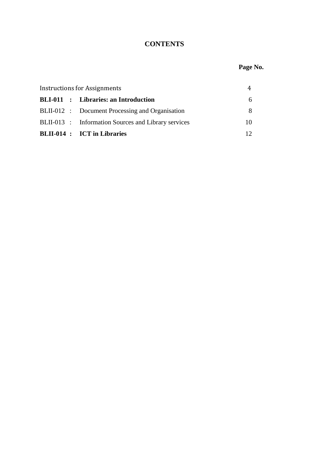### **CONTENTS**

## **Page No.**

| <b>Instructions for Assignments</b> |  |                                                     |    |
|-------------------------------------|--|-----------------------------------------------------|----|
|                                     |  | <b>BLI-011</b> : Libraries: an Introduction         | 6. |
|                                     |  | BLII-012 : Document Processing and Organisation     |    |
|                                     |  | BLII-013 : Information Sources and Library services | 10 |
|                                     |  | <b>BLII-014 : ICT in Libraries</b>                  |    |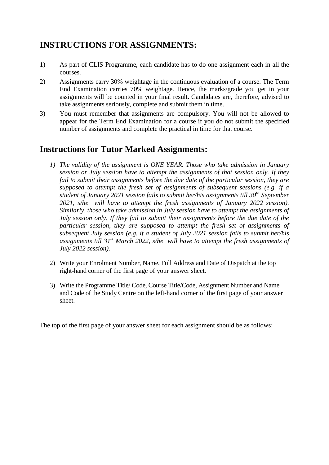# **INSTRUCTIONS FOR ASSIGNMENTS:**

- 1) As part of CLIS Programme, each candidate has to do one assignment each in all the courses.
- 2) Assignments carry 30% weightage in the continuous evaluation of a course. The Term End Examination carries 70% weightage. Hence, the marks/grade you get in your assignments will be counted in your final result. Candidates are, therefore, advised to take assignments seriously, complete and submit them in time.
- 3) You must remember that assignments are compulsory. You will not be allowed to appear for the Term End Examination for a course if you do not submit the specified number of assignments and complete the practical in time for that course.

# **Instructions for Tutor Marked Assignments:**

- *1) The validity of the assignment is ONE YEAR. Those who take admission in January session or July session have to attempt the assignments of that session only. If they fail to submit their assignments before the due date of the particular session, they are supposed to attempt the fresh set of assignments of subsequent sessions (e.g. if a student of January 2021 session fails to submit her/his assignments till 30th September 2021, s/he will have to attempt the fresh assignments of January 2022 session). Similarly, those who take admission in July session have to attempt the assignments of July session only. If they fail to submit their assignments before the due date of the particular session, they are supposed to attempt the fresh set of assignments of subsequent July session (e.g. if a student of July 2021 session fails to submit her/his assignments till 31st March 2022, s/he will have to attempt the fresh assignments of July 2022 session).*
- 2) Write your Enrolment Number, Name, Full Address and Date of Dispatch at the top right-hand corner of the first page of your answer sheet.
- 3) Write the Programme Title/ Code, Course Title/Code, Assignment Number and Name and Code of the Study Centre on the left-hand corner of the first page of your answer sheet.

The top of the first page of your answer sheet for each assignment should be as follows: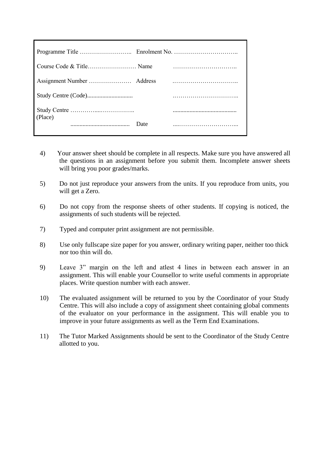| (Place) |      |  |
|---------|------|--|
|         | Date |  |

- 4) Your answer sheet should be complete in all respects. Make sure you have answered all the questions in an assignment before you submit them. Incomplete answer sheets will bring you poor grades/marks.
- 5) Do not just reproduce your answers from the units. If you reproduce from units, you will get a Zero.
- 6) Do not copy from the response sheets of other students. If copying is noticed, the assignments of such students will be rejected.
- 7) Typed and computer print assignment are not permissible.
- 8) Use only fullscape size paper for you answer, ordinary writing paper, neither too thick nor too thin will do.
- 9) Leave 3" margin on the left and atlest 4 lines in between each answer in an assignment. This will enable your Counsellor to write useful comments in appropriate places. Write question number with each answer.
- 10) The evaluated assignment will be returned to you by the Coordinator of your Study Centre. This will also include a copy of assignment sheet containing global comments of the evaluator on your performance in the assignment. This will enable you to improve in your future assignments as well as the Term End Examinations.
- 11) The Tutor Marked Assignments should be sent to the Coordinator of the Study Centre allotted to you.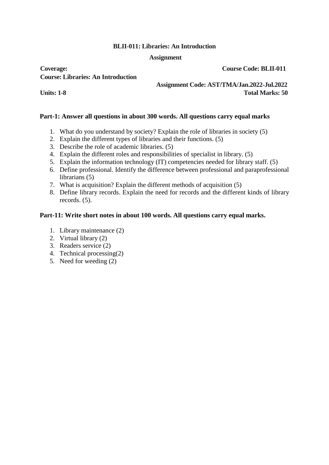#### **BLII-011: Libraries: An Introduction**

#### **Assignment**

**Coverage: Coverage: Course Code: BLII-011 Course: Libraries: An Introduction**

 **Assignment Code: AST/TMA/Jan.2022-Jul.2022 Units: 1-8 Total Marks: 50**

#### **Part-1: Answer all questions in about 300 words. All questions carry equal marks**

- 1. What do you understand by society? Explain the role of libraries in society (5)
- 2. Explain the different types of libraries and their functions. (5)
- 3. Describe the role of academic libraries. (5)
- 4. Explain the different roles and responsibilities of specialist in library. (5)
- 5. Explain the information technology (IT) competencies needed for library staff. (5)
- 6. Define professional. Identify the difference between professional and paraprofessional librarians (5)
- 7. What is acquisition? Explain the different methods of acquisition (5)
- 8. Define library records. Explain the need for records and the different kinds of library records. (5).

#### **Part-11: Write short notes in about 100 words. All questions carry equal marks.**

- 1. Library maintenance (2)
- 2. Virtual library (2)
- 3. Readers service (2)
- 4. Technical processing(2)
- 5. Need for weeding (2)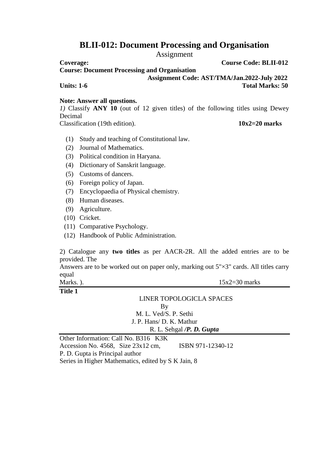# **BLII-012: Document Processing and Organisation**

Assignment

**Course: Document Processing and Organisation** 

 **Assignment Code: AST/TMA/Jan.2022-July 2022**

**Units: 1-6** Total Marks: 50

#### **Note: Answer all questions.**

*1)* Classify **ANY 10** (out of 12 given titles) of the following titles using Dewey Decimal

Classification (19th edition). **10x2=20 marks**

- (1) Study and teaching of Constitutional law.
- (2) Journal of Mathematics.
- (3) Political condition in Haryana.
- (4) Dictionary of Sanskrit language.
- (5) Customs of dancers.
- (6) Foreign policy of Japan.
- (7) Encyclopaedia of Physical chemistry.
- (8) Human diseases.
- (9) Agriculture.
- (10) Cricket.
- (11) Comparative Psychology.
- (12) Handbook of Public Administration.

2) Catalogue any **two titles** as per AACR-2R. All the added entries are to be provided. The

Answers are to be worked out on paper only, marking out 5"×3" cards. All titles carry equal

Marks. ).  $15x2=30$  marks

#### **Title 1**

#### LINER TOPOLOGICLA SPACES

By

M. L. Ved/S. P. Sethi J. P. Hans/ D. K. Mathur R. L. Sehgal */P. D. Gupta*

**Other Information: Call No. B316 K3K** Accession No. 4568, Size 23x12 cm, ISBN 971-12340-12

P. D. Gupta is Principal author

Series in Higher Mathematics, edited by S K Jain, 8

**Coverage: Course Code: BLII-012**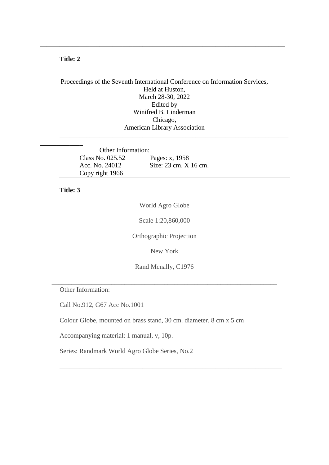#### **Title: 2**

Proceedings of the Seventh International Conference on Information Services, Held at Huston, March 28-30, 2022 Edited by Winifred B. Linderman Chicago, American Library Association **\_\_\_\_\_\_\_\_\_\_\_\_\_\_\_\_\_\_\_\_\_\_\_\_\_\_\_\_\_\_\_\_\_\_\_\_\_\_\_\_\_\_\_\_\_\_\_\_\_\_\_\_\_\_\_\_\_\_\_\_\_\_\_\_\_\_\_\_\_**

\_\_\_\_\_\_\_\_\_\_\_\_\_\_\_\_\_\_\_\_\_\_\_\_\_\_\_\_\_\_\_\_\_\_\_\_\_\_\_\_\_\_\_\_\_\_\_\_\_\_\_\_\_\_\_\_\_\_\_\_\_\_\_\_\_\_\_\_\_\_\_\_\_\_

| Other Information: |                       |
|--------------------|-----------------------|
| Class No. 025.52   | Pages: x, 1958        |
| Acc. No. 24012     | Size: 23 cm. X 16 cm. |
| Copy right 1966    |                       |

#### **Title: 3**

World Agro Globe

Scale 1:20,860,000

Orthographic Projection

New York

Rand Mcnally, C1976

\_\_\_\_\_\_\_\_\_\_\_\_\_\_\_\_\_\_\_\_\_\_\_\_\_\_\_\_\_\_\_\_\_\_\_\_\_\_\_\_\_\_\_\_\_\_\_\_\_\_\_\_\_\_\_\_\_\_\_\_\_\_\_\_\_\_\_\_

\_\_\_\_\_\_\_\_\_\_\_\_\_\_\_\_\_\_\_\_\_\_\_\_\_\_\_\_\_\_\_\_\_\_\_\_\_\_\_\_\_\_\_\_\_\_\_\_\_\_\_\_\_\_\_\_\_\_\_\_\_\_\_\_\_\_\_

Other Information:

Call No.912, G67 Acc No.1001

Colour Globe, mounted on brass stand, 30 cm. diameter. 8 cm x 5 cm

Accompanying material: 1 manual, v, 10p.

Series: Randmark World Agro Globe Series, No.2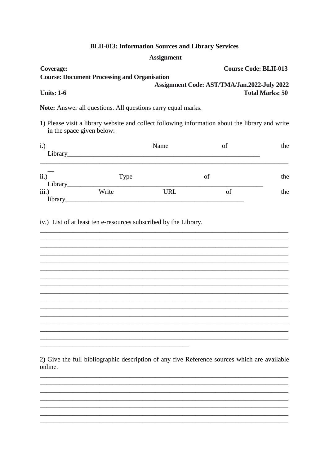#### **BLII-013: Information Sources and Library Services**

#### **Assignment**

| <b>Coverage:</b>                                    | <b>Course Code: BLII-013</b>                |
|-----------------------------------------------------|---------------------------------------------|
| <b>Course: Document Processing and Organisation</b> |                                             |
|                                                     | Assignment Code: AST/TMA/Jan.2022-July 2022 |
| <b>Units: 1-6</b>                                   | <b>Total Marks: 50</b>                      |

Note: Answer all questions. All questions carry equal marks.

1) Please visit a library website and collect following information about the library and write in the space given below:

| i.)<br>Library_  |       | Name       | of | the |
|------------------|-------|------------|----|-----|
| ii.)<br>Library  | Type  |            | of | the |
| iii.)<br>library | Write | <b>URL</b> | of | the |

iv.) List of at least ten e-resources subscribed by the Library.

2) Give the full bibliographic description of any five Reference sources which are available online.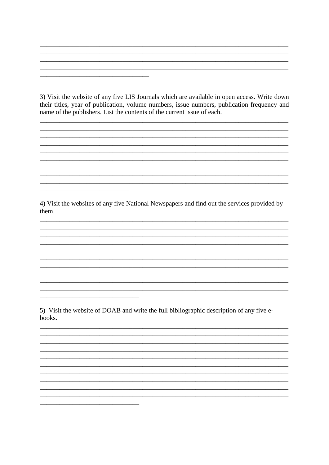3) Visit the website of any five LIS Journals which are available in open access. Write down their titles, year of publication, volume numbers, issue numbers, publication frequency and name of the publishers. List the contents of the current issue of each.

4) Visit the websites of any five National Newspapers and find out the services provided by them.

5) Visit the website of DOAB and write the full bibliographic description of any five ebooks.